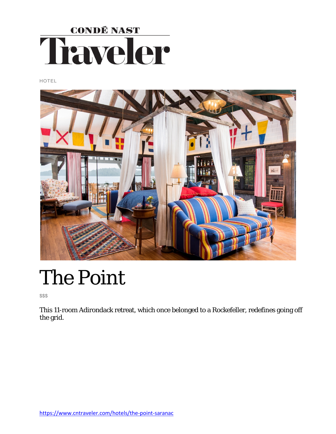

HOTEL



# The Point

\$\$\$

This 11-room Adirondack retreat, which once belonged to a Rockefeller, redefines going off the grid.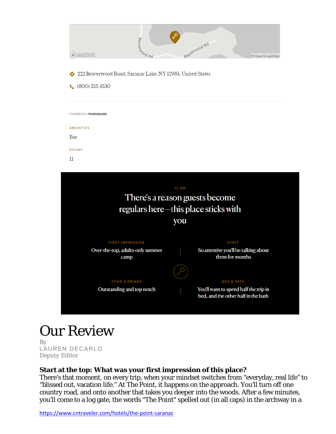|          | Beaverwood Rd |                 |
|----------|---------------|-----------------|
| O mapbox |               | © OpenStreetMap |

- 222 Beaverwood Road, Saranac Lake, NY 12983, United States
- $(800)$  255-3530

| POWERED BY FOURSQUARE<br>AMENITIES<br>Bar<br>ROOMS<br>11 |  |  |  |
|----------------------------------------------------------|--|--|--|
|                                                          |  |  |  |
|                                                          |  |  |  |
|                                                          |  |  |  |
|                                                          |  |  |  |
|                                                          |  |  |  |
|                                                          |  |  |  |
|                                                          |  |  |  |
|                                                          |  |  |  |



# Our Review

By [LAUREN DECARLO](https://www.cntraveler.com/contributors/lauren-decarlo) *Deputy Editor*

#### **Start at the top: What was your first impression of this place?**

There's that moment, on every trip, when your mindset switches from "everyday, real life" to "blissed out, vacation life." At The Point, it happens on the approach. You'll turn off one country road, and onto another that takes you deeper into the woods. After a few minutes, you'll come to a log gate, the words "The Point" spelled out (in all caps) in the archway in a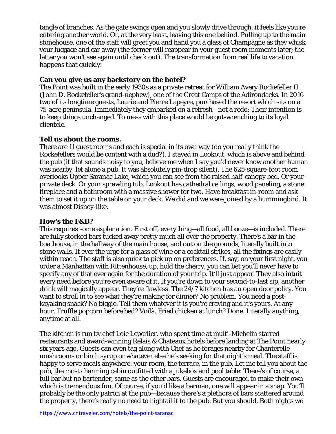tangle of branches. As the gate swings open and you slowly drive through, it feels like you're entering another world. Or, at the very least, leaving this one behind. Pulling up to the main stonehouse, one of the staff will greet you and hand you a glass of Champagne as they whisk your luggage and car away (the former will reappear in your guest room moments later; the latter you won't see again until check out). The transformation from real life to vacation happens that quickly.

# **Can you give us any backstory on the hotel?**

The Point was built in the early 1930s as a private retreat for William Avery Rockefeller II (John D. Rockefeller's grand-nephew), one of the Great Camps of the Adirondacks. In 2016 two of its longtime guests, Laurie and Pierre Lapeyre, purchased the resort which sits on a 75-acre peninsula. Immediately they embarked on a refresh—not a redo: Their intention is to keep things unchanged. To mess with this place would be gut-wrenching to its loyal clientele.

# **Tell us about the rooms.**

There are 11 guest rooms and each is special in its own way (do you really think the Rockefellers would be content with a dud?). I stayed in Lookout, which is above and behind the pub (if that sounds noisy to you, believe me when I say you'd never know another human was nearby, let alone a pub. It was absolutely pin-drop silent). The 625-square-foot room overlooks Upper Saranac Lake, which you can see from the raised half-canopy bed. Or your private deck. Or your sprawling tub. Lookout has cathedral ceilings, wood paneling, a stone fireplace and a bathroom with a massive shower for two. Have breakfast in-room and ask them to set it up on the table on your deck. We did and we were joined by a hummingbird. It was almost Disney-like.

#### **How's the F&B?**

This requires some explanation. First off, everything—all food, all booze—is included. There are fully stocked bars tucked away pretty much all over the property. There's a bar in the boathouse, in the hallway of the main house, and out on the grounds, literally built into stone walls. If ever the urge for a glass of wine or a cocktail strikes, all the fixings are easily within reach. The staff is also quick to pick up on preferences. If, say, on your first night, you order a Manhattan with Rittenhouse, up, hold the cherry, you can bet you'll never have to specify any of that ever again for the duration of your trip. It'll just appear. They also intuit every need before you're even aware of it. If you're down to your second-to-last sip, another drink will magically appear. They're flawless. The 24/7 kitchen has an open door policy. You want to stroll in to see what they're making for dinner? No problem. You need a postkayaking snack? No biggie. Tell them whatever it is you're craving and it's yours. At any hour. Truffle popcorn before bed? Voilà. Fried chicken at lunch? Done. Literally anything, anytime at all.

The kitchen is run by chef Loic Leperlier, who spent time at multi-Michelin starred restaurants and award-winning Relais & Chateaux hotels before landing at The Point nearly six years ago. Guests can even tag along with Chef as he forages nearby for Chanterelle mushrooms or birch syrup or whatever else he's seeking for that night's meal. The staff is happy to serve meals anywhere: your room, the terrace, in the pub. Let me tell you about the pub, the most charming cabin outfitted with a jukebox and pool table: There's of course, a full bar but no bartender, same as the other bars. Guests are encouraged to make their own which is tremendous fun. Of course, if you'd like a barman, one will appear in a snap. You'll probably be the only patron at the pub—because there's a plethora of bars scattered around the property, there's really no need to hightail it to the pub. But you should. Both nights we